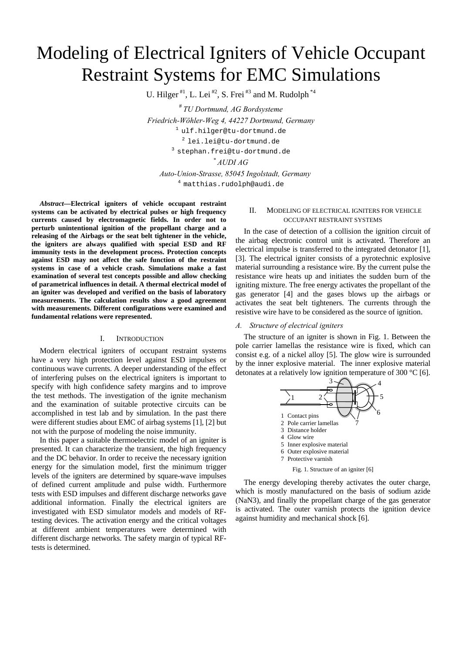# Modeling of Electrical Igniters of Vehicle Occupant Restraint Systems for EMC Simulations

U. Hilger  $^{#1}$ , L. Lei  $^{#2}$ , S. Frei  $^{#3}$  and M. Rudolph  $^{*4}$ 

# *TU Dortmund, AG Bordsysteme Friedrich-Wöhler-Weg 4, 44227 Dortmund, Germany* <sup>1</sup> ulf.hilger@tu-dortmund.de 2 lei.lei@tu-dortmund.de

3 stephan.frei@tu-dortmund.de

\* *AUDI AG* 

*Auto-Union-Strasse, 85045 Ingolstadt, Germany* 

4 matthias.rudolph@audi.de

*Abstract***—Electrical igniters of vehicle occupant restraint systems can be activated by electrical pulses or high frequency currents caused by electromagnetic fields. In order not to perturb unintentional ignition of the propellant charge and a releasing of the Airbags or the seat belt tightener in the vehicle, the igniters are always qualified with special ESD and RF immunity tests in the development process. Protection concepts against ESD may not affect the safe function of the restraint systems in case of a vehicle crash. Simulations make a fast examination of several test concepts possible and allow checking of parametrical influences in detail. A thermal electrical model of an igniter was developed and verified on the basis of laboratory measurements. The calculation results show a good agreement with measurements. Different configurations were examined and fundamental relations were represented.** 

#### I. INTRODUCTION

Modern electrical igniters of occupant restraint systems have a very high protection level against ESD impulses or continuous wave currents. A deeper understanding of the effect of interfering pulses on the electrical igniters is important to specify with high confidence safety margins and to improve the test methods. The investigation of the ignite mechanism and the examination of suitable protective circuits can be accomplished in test lab and by simulation. In the past there were different studies about EMC of airbag systems [1], [2] but not with the purpose of modeling the noise immunity.

In this paper a suitable thermoelectric model of an igniter is presented. It can characterize the transient, the high frequency and the DC behavior. In order to receive the necessary ignition energy for the simulation model, first the minimum trigger levels of the igniters are determined by square-wave impulses of defined current amplitude and pulse width. Furthermore tests with ESD impulses and different discharge networks gave additional information. Finally the electrical igniters are investigated with ESD simulator models and models of RFtesting devices. The activation energy and the critical voltages at different ambient temperatures were determined with different discharge networks. The safety margin of typical RFtests is determined.

## II. MODELING OF ELECTRICAL IGNITERS FOR VEHICLE OCCUPANT RESTRAINT SYSTEMS

In the case of detection of a collision the ignition circuit of the airbag electronic control unit is activated. Therefore an electrical impulse is transferred to the integrated detonator [1], [3]. The electrical igniter consists of a pyrotechnic explosive material surrounding a resistance wire. By the current pulse the resistance wire heats up and initiates the sudden burn of the igniting mixture. The free energy activates the propellant of the gas generator [4] and the gases blows up the airbags or activates the seat belt tighteners. The currents through the resistive wire have to be considered as the source of ignition.

#### *A. Structure of electrical igniters*

The structure of an igniter is shown in Fig. 1. Between the pole carrier lamellas the resistance wire is fixed, which can consist e.g. of a nickel alloy [5]. The glow wire is surrounded by the inner explosive material. The inner explosive material detonates at a relatively low ignition temperature of 300 °C [6].



The energy developing thereby activates the outer charge, which is mostly manufactured on the basis of sodium azide (NaN3), and finally the propellant charge of the gas generator is activated. The outer varnish protects the ignition device against humidity and mechanical shock [6].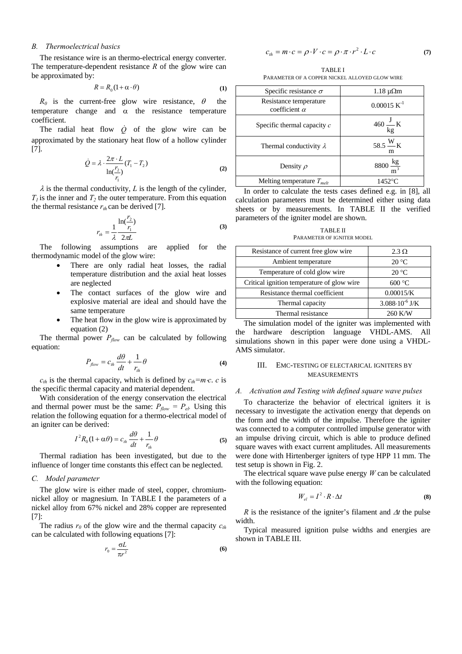## *B. Thermoelectrical basics*

The resistance wire is an thermo-electrical energy converter. The temperature-dependent resistance *R* of the glow wire can be approximated by:

$$
R = R_0(1 + \alpha \cdot \theta) \tag{1}
$$

 $R_0$  is the current-free glow wire resistance,  $\theta$  the temperature change and  $\alpha$  the resistance temperature coefficient.

The radial heat flow  $\dot{Q}$  of the glow wire can be approximated by the stationary heat flow of a hollow cylinder [7].

$$
\dot{Q} = \lambda \cdot \frac{2\pi \cdot L}{\ln(\frac{r_2}{r_1})} (T_1 - T_2)
$$
\n(2)

 $\lambda$  is the thermal conductivity, *L* is the length of the cylinder,  $T_1$  is the inner and  $T_2$  the outer temperature. From this equation the thermal resistance  $r_{th}$  can be derived [7].

$$
r_{th} = \frac{1}{\lambda} \frac{\ln(\frac{r_2}{r_1})}{2\pi L}
$$
 (3)

The following assumptions are applied for the thermodynamic model of the glow wire:

- There are only radial heat losses, the radial temperature distribution and the axial heat losses are neglected
- The contact surfaces of the glow wire and explosive material are ideal and should have the same temperature
- The heat flow in the glow wire is approximated by equation (2)

The thermal power  $P_{flow}$  can be calculated by following equation:

$$
P_{flow} = c_{th} \frac{d\theta}{dt} + \frac{1}{r_{th}} \theta
$$
 (4)

 $c_{th}$  is the thermal capacity, which is defined by  $c_{th}=m \cdot c$ . *c* is the specific thermal capacity and material dependent.

With consideration of the energy conservation the electrical and thermal power must be the same:  $P_{flow} = P_{el}$ . Using this relation the following equation for a thermo-electrical model of an igniter can be derived:

$$
I^{2}R_{0}(1+\alpha\theta) = c_{th}\frac{d\theta}{dt} + \frac{1}{r_{th}}\theta
$$
 (5)

Thermal radiation has been investigated, but due to the influence of longer time constants this effect can be neglected.

## *C. Model parameter*

The glow wire is either made of steel, copper, chromiumnickel alloy or magnesium. In TABLE I the parameters of a nickel alloy from 67% nickel and 28% copper are represented  $[7]:$ 

The radius  $r_0$  of the glow wire and the thermal capacity  $c_{th}$ can be calculated with following equations [7]:

$$
r_0 = \frac{\sigma L}{\pi r^2} \tag{6}
$$

$$
c_{th} = m \cdot c = \rho \cdot V \cdot c = \rho \cdot \pi \cdot r^2 \cdot L \cdot c \tag{7}
$$

TABLE I PARAMETER OF A COPPER NICKEL ALLOYED GLOW WIRE

| Specific resistance $\sigma$                   | $1.18 \mu\Omega$ m                    |  |
|------------------------------------------------|---------------------------------------|--|
| Resistance temperature<br>coefficient $\alpha$ | $0.00015 K^{-1}$                      |  |
| Specific thermal capacity c                    | $460 \frac{J}{kg} K$                  |  |
| Thermal conductivity $\lambda$                 | $58.5 \frac{\text{W}}{\text{K}}$<br>m |  |
| Density $\rho$                                 | $8800 \frac{\text{kg}}{\text{m}^3}$   |  |
| Melting temperature $T_{melt}$                 | $1452$ °C                             |  |

In order to calculate the tests cases defined e.g. in [8], all calculation parameters must be determined either using data sheets or by measurements. In TABLE II the verified parameters of the igniter model are shown.

TABLE II PARAMETER OF IGNITER MODEL

| Resistance of current free glow wire        | $2.3 \Omega$              |
|---------------------------------------------|---------------------------|
| Ambient temperature                         | $20^{\circ}$ C            |
| Temperature of cold glow wire               | $20^{\circ}$ C            |
| Critical ignition temperature of glow wire. | 600 °C                    |
| Resistance thermal coefficient              | $0.00015$ /K              |
| Thermal capacity                            | $3.088 \cdot 10^{-6}$ J/K |
| Thermal resistance                          | 260 K/W                   |

The simulation model of the igniter was implemented with the hardware description language VHDL-AMS. All simulations shown in this paper were done using a VHDL-AMS simulator.

### III. EMC-TESTING OF ELECTARICAL IGNITERS BY MEASUREMENTS

#### *A. Activation and Testing with defined square wave pulses*

To characterize the behavior of electrical igniters it is necessary to investigate the activation energy that depends on the form and the width of the impulse. Therefore the igniter was connected to a computer controlled impulse generator with an impulse driving circuit, which is able to produce defined square waves with exact current amplitudes. All measurements were done with Hirtenberger igniters of type HPP 11 mm. The test setup is shown in Fig. 2.

The electrical square wave pulse energy *W* can be calculated with the following equation:

$$
W_{el} = I^2 \cdot R \cdot \Delta t \tag{8}
$$

*R* is the resistance of the igniter's filament and Δ*t* the pulse width.

Typical measured ignition pulse widths and energies are shown in TABLE III.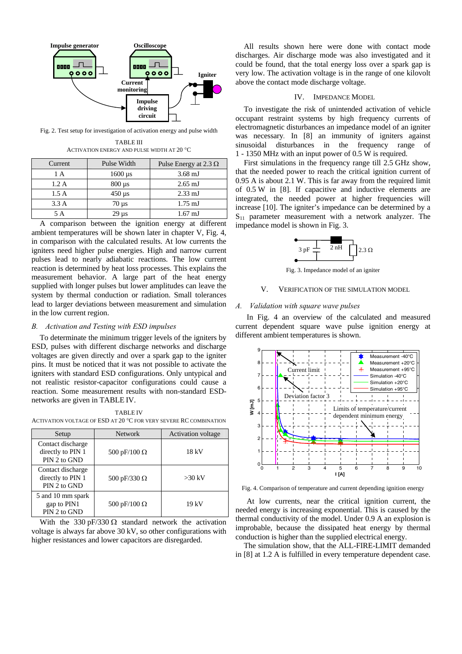

Fig. 2. Test setup for investigation of activation energy and pulse width

TABLE III ACTIVATION ENERGY AND PULSE WIDTH AT 20 °C

| Current | Pulse Width               | Pulse Energy at 2.3 $\Omega$ |  |
|---------|---------------------------|------------------------------|--|
| 1 A     | $1600 \,\mathrm{\upmu s}$ | $3.68$ mJ                    |  |
| 1.2A    | $800 \,\mathrm{\mu s}$    | $2.65$ mJ                    |  |
| 1.5A    | $450 \,\mathrm{\mu s}$    | $2.33 \text{ mJ}$            |  |
| 3.3A    | $70 \,\mathrm{u}$ s       | $1.75 \text{ mJ}$            |  |
| 5 A     | $29 \,\mu s$              | $1.67 \text{ mJ}$            |  |

A comparison between the ignition energy at different ambient temperatures will be shown later in chapter V, Fig. 4, in comparison with the calculated results. At low currents the igniters need higher pulse energies. High and narrow current pulses lead to nearly adiabatic reactions. The low current reaction is determined by heat loss processes. This explains the measurement behavior. A large part of the heat energy supplied with longer pulses but lower amplitudes can leave the system by thermal conduction or radiation. Small tolerances lead to larger deviations between measurement and simulation in the low current region.

#### *B. Activation and Testing with ESD impulses*

To determinate the minimum trigger levels of the igniters by ESD, pulses with different discharge networks and discharge voltages are given directly and over a spark gap to the igniter pins. It must be noticed that it was not possible to activate the igniters with standard ESD configurations. Only untypical and not realistic resistor-capacitor configurations could cause a reaction. Some measurement results with non-standard ESDnetworks are given in TABLE IV.

TABLE IV ACTIVATION VOLTAGE OF ESD AT 20 °C FOR VERY SEVERE RC COMBINATION

| Setup                                                  | <b>Network</b>      | <b>Activation voltage</b> |
|--------------------------------------------------------|---------------------|---------------------------|
| Contact discharge<br>directly to PIN 1<br>PIN 2 to GND | 500 pF/100 $\Omega$ | 18 kV                     |
| Contact discharge<br>directly to PIN 1<br>PIN 2 to GND | 500 pF/330 $\Omega$ | $>30$ kV                  |
| 5 and 10 mm spark<br>gap to PIN1<br>PIN 2 to GND       | 500 pF/100 $\Omega$ | 19 kV                     |

With the 330 pF/330  $\Omega$  standard network the activation voltage is always far above 30 kV, so other configurations with higher resistances and lower capacitors are disregarded.

All results shown here were done with contact mode discharges. Air discharge mode was also investigated and it could be found, that the total energy loss over a spark gap is very low. The activation voltage is in the range of one kilovolt above the contact mode discharge voltage.

## IV. IMPEDANCE MODEL

To investigate the risk of unintended activation of vehicle occupant restraint systems by high frequency currents of electromagnetic disturbances an impedance model of an igniter was necessary*.* In [8] an immunity of igniters against sinusoidal disturbances in the frequency range of 1 - 1350 MHz with an input power of 0.5 W is required.

First simulations in the frequency range till 2.5 GHz show, that the needed power to reach the critical ignition current of 0.95 A is about 2.1 W. This is far away from the required limit of 0.5 W in [8]. If capacitive and inductive elements are integrated, the needed power at higher frequencies will increase [10]. The igniter's impedance can be determined by a  $S_{11}$  parameter measurement with a network analyzer. The impedance model is shown in Fig. 3.



Fig. 3. Impedance model of an igniter

#### V. VERIFICATION OF THE SIMULATION MODEL

#### *A. Validation with square wave pulses*

In Fig. 4 an overview of the calculated and measured current dependent square wave pulse ignition energy at different ambient temperatures is shown.



Fig. 4. Comparison of temperature and current depending ignition energy

At low currents, near the critical ignition current, the needed energy is increasing exponential. This is caused by the thermal conductivity of the model. Under 0.9 A an explosion is improbable, because the dissipated heat energy by thermal conduction is higher than the supplied electrical energy.

The simulation show, that the ALL-FIRE-LIMIT demanded in [8] at 1.2 A is fulfilled in every temperature dependent case.